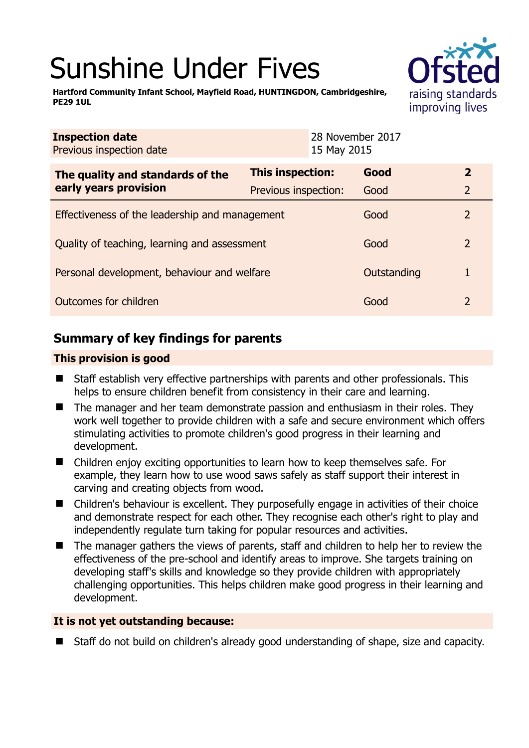# Sunshine Under Fives



**Hartford Community Infant School, Mayfield Road, HUNTINGDON, Cambridgeshire, PE29 1UL** 

| <b>Inspection date</b><br>Previous inspection date |                      | 28 November 2017<br>15 May 2015 |             |                |
|----------------------------------------------------|----------------------|---------------------------------|-------------|----------------|
| The quality and standards of the                   | This inspection:     |                                 | Good        | $\mathbf{2}$   |
| early years provision                              | Previous inspection: |                                 | Good        | $\overline{2}$ |
| Effectiveness of the leadership and management     |                      |                                 | Good        | 2              |
| Quality of teaching, learning and assessment       |                      |                                 | Good        | 2              |
| Personal development, behaviour and welfare        |                      |                                 | Outstanding | 1              |
| Outcomes for children                              |                      |                                 | Good        | 2              |

# **Summary of key findings for parents**

## **This provision is good**

- Staff establish very effective partnerships with parents and other professionals. This helps to ensure children benefit from consistency in their care and learning.
- The manager and her team demonstrate passion and enthusiasm in their roles. They work well together to provide children with a safe and secure environment which offers stimulating activities to promote children's good progress in their learning and development.
- Children enjoy exciting opportunities to learn how to keep themselves safe. For example, they learn how to use wood saws safely as staff support their interest in carving and creating objects from wood.
- Children's behaviour is excellent. They purposefully engage in activities of their choice and demonstrate respect for each other. They recognise each other's right to play and independently regulate turn taking for popular resources and activities.
- The manager gathers the views of parents, staff and children to help her to review the effectiveness of the pre-school and identify areas to improve. She targets training on developing staff's skills and knowledge so they provide children with appropriately challenging opportunities. This helps children make good progress in their learning and development.

### **It is not yet outstanding because:**

■ Staff do not build on children's already good understanding of shape, size and capacity.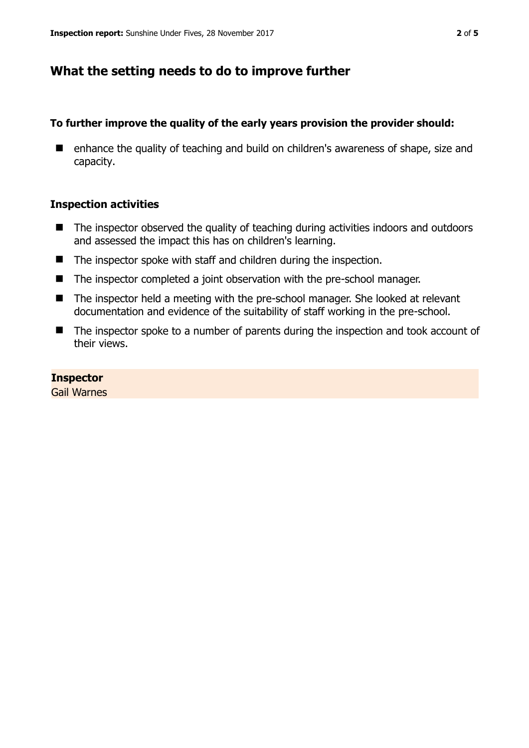# **What the setting needs to do to improve further**

## **To further improve the quality of the early years provision the provider should:**

■ enhance the quality of teaching and build on children's awareness of shape, size and capacity.

### **Inspection activities**

- The inspector observed the quality of teaching during activities indoors and outdoors and assessed the impact this has on children's learning.
- The inspector spoke with staff and children during the inspection.
- The inspector completed a joint observation with the pre-school manager.
- The inspector held a meeting with the pre-school manager. She looked at relevant documentation and evidence of the suitability of staff working in the pre-school.
- The inspector spoke to a number of parents during the inspection and took account of their views.

### **Inspector**

Gail Warnes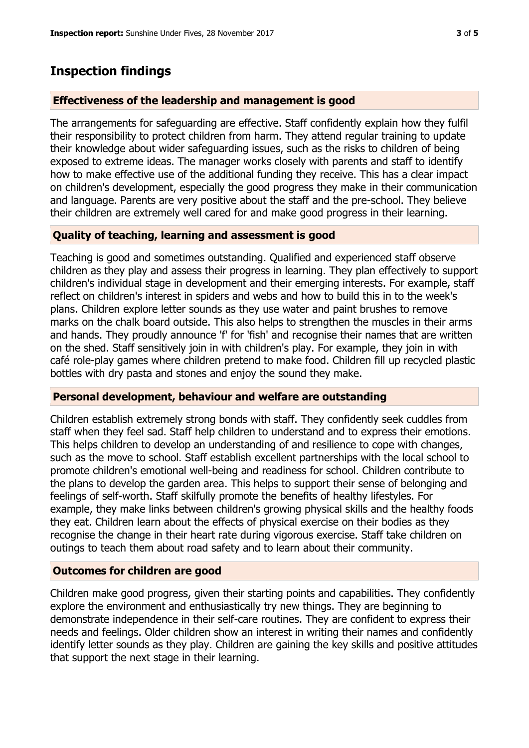## **Inspection findings**

#### **Effectiveness of the leadership and management is good**

The arrangements for safeguarding are effective. Staff confidently explain how they fulfil their responsibility to protect children from harm. They attend regular training to update their knowledge about wider safeguarding issues, such as the risks to children of being exposed to extreme ideas. The manager works closely with parents and staff to identify how to make effective use of the additional funding they receive. This has a clear impact on children's development, especially the good progress they make in their communication and language. Parents are very positive about the staff and the pre-school. They believe their children are extremely well cared for and make good progress in their learning.

#### **Quality of teaching, learning and assessment is good**

Teaching is good and sometimes outstanding. Qualified and experienced staff observe children as they play and assess their progress in learning. They plan effectively to support children's individual stage in development and their emerging interests. For example, staff reflect on children's interest in spiders and webs and how to build this in to the week's plans. Children explore letter sounds as they use water and paint brushes to remove marks on the chalk board outside. This also helps to strengthen the muscles in their arms and hands. They proudly announce 'f' for 'fish' and recognise their names that are written on the shed. Staff sensitively join in with children's play. For example, they join in with café role-play games where children pretend to make food. Children fill up recycled plastic bottles with dry pasta and stones and enjoy the sound they make.

#### **Personal development, behaviour and welfare are outstanding**

Children establish extremely strong bonds with staff. They confidently seek cuddles from staff when they feel sad. Staff help children to understand and to express their emotions. This helps children to develop an understanding of and resilience to cope with changes, such as the move to school. Staff establish excellent partnerships with the local school to promote children's emotional well-being and readiness for school. Children contribute to the plans to develop the garden area. This helps to support their sense of belonging and feelings of self-worth. Staff skilfully promote the benefits of healthy lifestyles. For example, they make links between children's growing physical skills and the healthy foods they eat. Children learn about the effects of physical exercise on their bodies as they recognise the change in their heart rate during vigorous exercise. Staff take children on outings to teach them about road safety and to learn about their community.

#### **Outcomes for children are good**

Children make good progress, given their starting points and capabilities. They confidently explore the environment and enthusiastically try new things. They are beginning to demonstrate independence in their self-care routines. They are confident to express their needs and feelings. Older children show an interest in writing their names and confidently identify letter sounds as they play. Children are gaining the key skills and positive attitudes that support the next stage in their learning.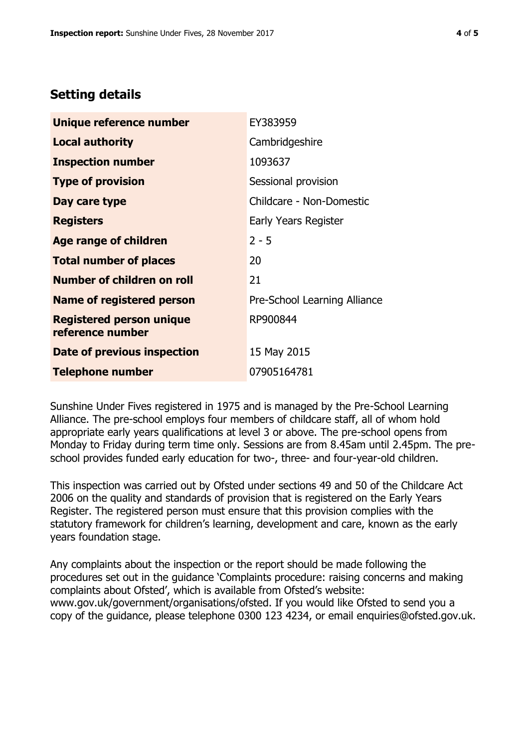# **Setting details**

| Unique reference number                             | EY383959                     |  |  |
|-----------------------------------------------------|------------------------------|--|--|
| <b>Local authority</b>                              | Cambridgeshire               |  |  |
| <b>Inspection number</b>                            | 1093637                      |  |  |
| <b>Type of provision</b>                            | Sessional provision          |  |  |
| Day care type                                       | Childcare - Non-Domestic     |  |  |
| <b>Registers</b>                                    | Early Years Register         |  |  |
| <b>Age range of children</b>                        | $2 - 5$                      |  |  |
| <b>Total number of places</b>                       | 20                           |  |  |
| <b>Number of children on roll</b>                   | 21                           |  |  |
| <b>Name of registered person</b>                    | Pre-School Learning Alliance |  |  |
| <b>Registered person unique</b><br>reference number | RP900844                     |  |  |
| Date of previous inspection                         | 15 May 2015                  |  |  |
| <b>Telephone number</b>                             | 07905164781                  |  |  |

Sunshine Under Fives registered in 1975 and is managed by the Pre-School Learning Alliance. The pre-school employs four members of childcare staff, all of whom hold appropriate early years qualifications at level 3 or above. The pre-school opens from Monday to Friday during term time only. Sessions are from 8.45am until 2.45pm. The preschool provides funded early education for two-, three- and four-year-old children.

This inspection was carried out by Ofsted under sections 49 and 50 of the Childcare Act 2006 on the quality and standards of provision that is registered on the Early Years Register. The registered person must ensure that this provision complies with the statutory framework for children's learning, development and care, known as the early years foundation stage.

Any complaints about the inspection or the report should be made following the procedures set out in the guidance 'Complaints procedure: raising concerns and making complaints about Ofsted', which is available from Ofsted's website: www.gov.uk/government/organisations/ofsted. If you would like Ofsted to send you a copy of the guidance, please telephone 0300 123 4234, or email enquiries@ofsted.gov.uk.